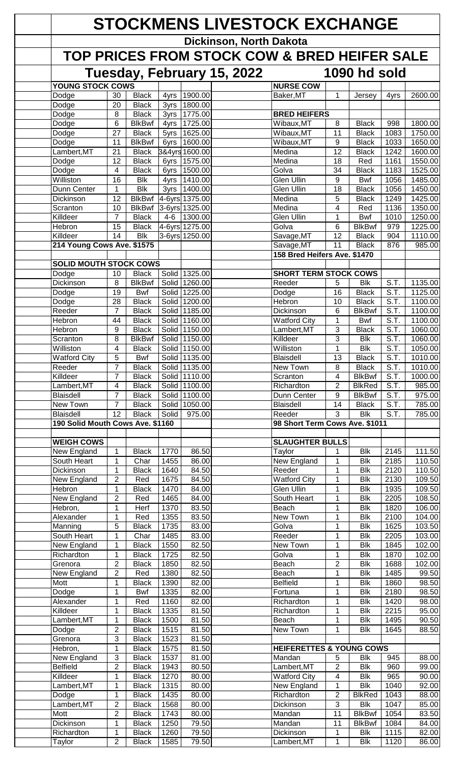| <b>STOCKMENS LIVESTOCK EXCHANGE</b>          |                                   |                               |                         |                                |                            |                                     |                                           |                                                        |                                        |                     |  |
|----------------------------------------------|-----------------------------------|-------------------------------|-------------------------|--------------------------------|----------------------------|-------------------------------------|-------------------------------------------|--------------------------------------------------------|----------------------------------------|---------------------|--|
|                                              |                                   |                               |                         |                                | Dickinson, North Dakota    |                                     |                                           |                                                        |                                        |                     |  |
| TOP PRICES FROM STOCK COW & BRED HEIFER SALE |                                   |                               |                         |                                |                            |                                     |                                           |                                                        |                                        |                     |  |
|                                              |                                   |                               |                         |                                | Tuesday, February 15, 2022 | 1090 hd sold                        |                                           |                                                        |                                        |                     |  |
| <b>YOUNG STOCK COWS</b>                      |                                   |                               |                         |                                |                            | <b>NURSE COW</b>                    |                                           |                                                        |                                        |                     |  |
| Dodge<br>Dodge                               | 30<br>20                          | <b>Black</b><br><b>Black</b>  | 4yrs                    | 1900.00<br>3yrs   1800.00      |                            | Baker, MT                           | 1                                         | Jersey                                                 | 4yrs                                   | 2600.00             |  |
| Dodge                                        | 8                                 | <b>Black</b>                  |                         | 3yrs 1775.00                   |                            | <b>BRED HEIFERS</b>                 |                                           |                                                        |                                        |                     |  |
| Dodge                                        | 6                                 | <b>BlkBwf</b>                 | 4yrs                    | 1725.00                        |                            | Wibaux, MT                          | 8                                         | <b>Black</b>                                           | 998                                    | 1800.00             |  |
| Dodge                                        | $\overline{27}$                   | <b>Black</b>                  | 5yrs                    | 1625.00                        |                            | Wibaux, MT                          | 11                                        | <b>Black</b>                                           | 1083                                   | 1750.00             |  |
| Dodge<br>Lambert, MT                         | 11<br>21                          | <b>BlkBwf</b><br><b>Black</b> | 6yrs                    | 1600.00<br>3&4yrs 1600.00      |                            | Wibaux, MT<br>Medina                | 9<br>$\overline{12}$                      | <b>Black</b><br><b>Black</b>                           | 1033<br>1242                           | 1650.00<br>1600.00  |  |
| Dodge                                        | 12                                | <b>Black</b>                  |                         | 6yrs 1575.00                   |                            | Medina                              | 18                                        | Red                                                    | 1161                                   | 1550.00             |  |
| Dodge                                        | 4                                 | <b>Black</b>                  | 6yrs                    | 1500.00                        |                            | Golva                               | 34                                        | <b>Black</b>                                           | 1183                                   | 1525.00             |  |
| Williston<br>Dunn Center                     | 16<br>1                           | <b>Blk</b><br><b>Blk</b>      | 4yrs                    | 1410.00<br>3yrs 1400.00        |                            | Glen Ullin<br><b>Glen Ullin</b>     | 9<br>18                                   | <b>Bwf</b><br><b>Black</b>                             | 1056<br>1056                           | 1485.00<br>1450.00  |  |
| Dickinson                                    | 12                                | <b>BlkBwf</b>                 |                         | 4-6yrs 1375.00                 |                            | Medina                              | 5                                         | <b>Black</b>                                           | 1249                                   | 1425.00             |  |
| Scranton                                     | 10                                | <b>BlkBwf</b>                 |                         | 3-6yrs 1325.00                 |                            | Medina                              | 4                                         | Red                                                    | 1136                                   | 1350.00             |  |
| Killdeer<br>Hebron                           | $\overline{7}$<br>15              | <b>Black</b><br><b>Black</b>  | $4-6$                   | 1300.00 <br>4-6yrs 1275.00     |                            | Glen Ullin<br>Golva                 | 1<br>6                                    | <b>Bwf</b><br><b>BlkBwf</b>                            | 1010<br>979                            | 1250.00<br>1225.00  |  |
| Killdeer                                     | 14                                | <b>Blk</b>                    |                         | 3-6yrs 1250.00                 |                            | Savage, MT                          | 12                                        | <b>Black</b>                                           | 904                                    | 1110.00             |  |
| 214 Young Cows Ave. \$1575                   |                                   |                               |                         |                                |                            | Savage, MT                          | 11                                        | <b>Black</b>                                           | 876                                    | 985.00              |  |
|                                              |                                   |                               |                         |                                |                            | 158 Bred Heifers Ave. \$1470        |                                           |                                                        |                                        |                     |  |
| <b>SOLID MOUTH STOCK COWS</b><br>Dodge       | 10                                | <b>Black</b>                  |                         | Solid 1325.00                  |                            | <b>SHORT TERM STOCK COWS</b>        |                                           |                                                        |                                        |                     |  |
| Dickinson                                    | 8                                 | <b>BlkBwf</b>                 |                         | Solid 1260.00                  |                            | Reeder                              | 5                                         | <b>Blk</b>                                             | S.T.                                   | 1135.00             |  |
| Dodge                                        | 19                                | Bwf                           |                         | Solid 1225.00                  |                            | Dodge                               | 16                                        | <b>Black</b>                                           | S.T.                                   | 1125.00             |  |
| Dodge                                        | 28<br>$\overline{7}$              | <b>Black</b>                  |                         | Solid 1200.00                  |                            | Hebron<br><b>Dickinson</b>          | 10                                        | <b>Black</b><br><b>BlkBwf</b>                          | $\overline{S.T.}$<br>$\overline{S.T.}$ | 1100.00             |  |
| Reeder<br>Hebron                             | 44                                | <b>Black</b><br><b>Black</b>  |                         | Solid 1185.00<br>Solid 1160.00 |                            | <b>Watford City</b>                 | 6<br>1                                    | <b>Bwf</b>                                             | $\overline{S.T.}$                      | 1100.00<br>1100.00  |  |
| Hebron                                       | 9                                 | <b>Black</b>                  |                         | Solid 1150.00                  |                            | Lambert, MT                         | 3                                         | <b>Black</b>                                           | $\overline{S.T.}$                      | 1060.00             |  |
| Scranton                                     | 8                                 | <b>BlkBwf</b>                 |                         | Solid 1150.00                  |                            | Killdeer                            | 3                                         | $\overline{\mathsf{Blk}}$                              | S.T.                                   | 1060.00             |  |
| Williston                                    | 4                                 | <b>Black</b>                  |                         | Solid 1150.00                  |                            | Williston                           | 1                                         | <b>Blk</b>                                             | S.T.                                   | 1050.00             |  |
| <b>Watford City</b><br>Reeder                | 5<br>$\overline{7}$               | <b>Bwf</b><br><b>Black</b>    |                         | Solid 1135.00<br>Solid 1135.00 |                            | <b>Blaisdell</b><br>New Town        | 13<br>8                                   | <b>Black</b><br><b>Black</b>                           | S.T.<br>S.T.                           | 1010.00<br>1010.00  |  |
| Killdeer                                     | $\overline{7}$                    | <b>Black</b>                  |                         | Solid 1110.00                  |                            | Scranton                            | 4                                         | <b>BlkBwf</b>                                          | S.T.                                   | 1000.00             |  |
| Lambert, MT                                  | 4                                 | <b>Black</b>                  |                         | Solid 1100.00                  |                            | Richardton                          | $\overline{2}$                            | <b>BlkRed</b>                                          | S.T.                                   | 985.00              |  |
| <b>Blaisdell</b>                             | $\overline{7}$                    | <b>Black</b>                  |                         | Solid 1100.00                  |                            | Dunn Center                         | 9                                         | <b>BlkBwf</b>                                          | S.T.                                   | 975.00              |  |
| New Town<br><b>Blaisdell</b>                 | $\overline{7}$<br>$\overline{12}$ | <b>Black</b><br><b>Black</b>  | Solid                   | Solid 1050.00<br>975.00        |                            | Blaisdell<br>Reeder                 | 14<br>$\overline{3}$                      | <b>Black</b><br><b>Blk</b>                             | S.T.<br>S.T.                           | 785.00<br>785.00    |  |
| 190 Solid Mouth Cows Ave. \$1160             |                                   |                               |                         |                                |                            | 98 Short Term Cows Ave. \$1011      |                                           |                                                        |                                        |                     |  |
|                                              |                                   |                               |                         |                                |                            |                                     |                                           |                                                        |                                        |                     |  |
| <b>WEIGH COWS</b><br>New England             | 1                                 | <b>Black</b>                  | 1770                    | 86.50                          |                            | <b>SLAUGHTER BULLS</b><br>Taylor    | 1                                         | <b>Blk</b>                                             | 2145                                   | $\overline{111}.50$ |  |
| South Heart                                  | $\mathbf{1}$                      | $\overline{Char}$             | 1455                    | 86.00                          |                            | <b>New England</b>                  | $\mathbf{1}$                              | $\overline{B}$ <sub>k</sub>                            | 2185                                   | 110.50              |  |
| <b>Dickinson</b>                             | $\mathbf{1}$                      | <b>Black</b>                  | 1640                    | 84.50                          |                            | Reeder                              | $\mathbf{1}$                              | <b>Blk</b>                                             | 2120                                   | 110.50              |  |
| New England                                  | $\overline{2}$                    | Red                           | 1675                    | 84.50                          |                            | <b>Watford City</b>                 | 1                                         | <b>Blk</b>                                             | 2130                                   | 109.50              |  |
| Hebron<br>New England                        | $\mathbf{1}$<br>$\overline{2}$    | <b>Black</b><br>Red           | 1470<br>1465            | 84.00<br>84.00                 |                            | <b>Glen Ullin</b><br>South Heart    | 1<br>1                                    | <b>Blk</b><br><b>Blk</b>                               | 1935<br>2205                           | 109.50<br>108.50    |  |
| Hebron,                                      | $\mathbf{1}$                      | Herf                          | 1370                    | 83.50                          |                            | Beach                               | 1                                         | <b>Blk</b>                                             | 1820                                   | 106.00              |  |
| Alexander                                    | $\mathbf{1}$                      | Red                           | 1355                    | 83.50                          |                            | New Town                            | 1                                         | <b>Blk</b>                                             | 2100                                   | 104.00              |  |
| Manning                                      | 5                                 | <b>Black</b>                  | 1735                    | 83.00                          |                            | Golva<br>Reeder                     | 1                                         | <b>Blk</b><br>$\overline{\mathsf{Blk}}$                | 1625                                   | 103.50              |  |
| South Heart<br>New England                   | $\mathbf{1}$<br>$\mathbf{1}$      | Char<br><b>Black</b>          | 1485<br>1550            | 83.00<br>82.50                 |                            | New Town                            | 1<br>$\mathbf{1}$                         | <b>Blk</b>                                             | 2205<br>1845                           | 103.00<br>102.00    |  |
| Richardton                                   | $\mathbf{1}$                      | <b>Black</b>                  | 1725                    | 82.50                          |                            | Golva                               | $\mathbf{1}$                              | <b>Blk</b>                                             | 1870                                   | 102.00              |  |
| Grenora                                      | $\overline{2}$                    | <b>Black</b>                  | 1850                    | 82.50                          |                            | Beach                               | $\overline{c}$                            | <b>Blk</b>                                             | 1688                                   | 102.00              |  |
| New England<br>Mott                          | $\overline{2}$<br>$\mathbf{1}$    | Red<br><b>Black</b>           | 1380<br>1390            | 82.50<br>82.00                 |                            | Beach<br><b>Belfield</b>            | 1<br>1                                    | $\overline{\mathsf{Blk}}$<br>$\overline{\mathsf{Blk}}$ | 1485<br>1860                           | 99.50<br>98.50      |  |
| Dodge                                        | $\mathbf{1}$                      | <b>Bwf</b>                    | 1335                    | 82.00                          |                            | Fortuna                             | $\mathbf{1}$                              | $\overline{\mathsf{Blk}}$                              | 2180                                   | 98.50               |  |
| Alexander                                    | $\mathbf{1}$                      | Red                           | 1160                    | 82.00                          |                            | Richardton                          | 1                                         | $\overline{\mathsf{Blk}}$                              | 1420                                   | 98.00               |  |
| Killdeer                                     | $\overline{1}$                    | <b>Black</b>                  | 1335                    | 81.50                          |                            | Richardton                          | 1                                         | <b>Blk</b>                                             | 2215                                   | 95.00               |  |
| Lambert, MT<br>Dodge                         | $\mathbf{1}$<br>$\overline{2}$    | <b>Black</b><br><b>Black</b>  | 1500<br>1515            | 81.50<br>81.50                 |                            | Beach<br>New Town                   | 1<br>$\mathbf 1$                          | $\overline{\mathsf{Blk}}$<br><b>Blk</b>                | 1495<br>1645                           | 90.50<br>88.50      |  |
| Grenora                                      | 3                                 | <b>Black</b>                  | 1523                    | 81.50                          |                            |                                     |                                           |                                                        |                                        |                     |  |
| Hebron,                                      | $\mathbf{1}$                      | <b>Black</b>                  | 1575                    | 81.50                          |                            | <b>HEIFERETTES &amp; YOUNG COWS</b> |                                           |                                                        |                                        |                     |  |
| New England                                  | 3                                 | <b>Black</b>                  | 1537                    | 81.00                          |                            | Mandan                              | 5                                         | <b>Blk</b>                                             | 945                                    | 88.00               |  |
| <b>Belfield</b><br>Killdeer                  | $\overline{2}$<br>$\mathbf{1}$    | <b>Black</b><br><b>Black</b>  | 1943<br>$\frac{1}{270}$ | 80.50<br>80.00                 |                            | Lambert, MT<br><b>Watford City</b>  | $\overline{2}$<br>$\overline{\mathbf{4}}$ | <b>Blk</b><br><b>Blk</b>                               | 960<br>965                             | 99.00<br>90.00      |  |
| Lambert, MT                                  | $\mathbf{1}$                      | <b>Black</b>                  | 1315                    | 80.00                          |                            | New England                         | $\mathbf{1}$                              | <b>Blk</b>                                             | 1040                                   | 92.00               |  |
| Dodge                                        | 1                                 | <b>Black</b>                  | 1435                    | 80.00                          |                            | Richardton                          | 2                                         | <b>BlkRed</b>                                          | 1043                                   | 88.00               |  |
| Lambert, MT                                  | 2                                 | <b>Black</b>                  | 1568                    | 80.00                          |                            | Dickinson                           | 3                                         | Blk                                                    | 1047                                   | 85.00               |  |
| Mott<br>Dickinson                            | $\boldsymbol{2}$<br>1             | <b>Black</b><br><b>Black</b>  | 1743<br>1250            | 80.00<br>79.50                 |                            | Mandan<br>Mandan                    | 11<br>11                                  | <b>BlkBwf</b><br><b>BlkBwf</b>                         | 1054<br>1084                           | 83.50<br>84.00      |  |
| Richardton                                   | $\mathbf{1}$                      | <b>Black</b>                  | 1260                    | 79.50                          |                            | Dickinson                           | 1                                         | <b>Blk</b>                                             | 1115                                   | 82.00               |  |
| Taylor                                       | $\overline{2}$                    | <b>Black</b>                  | 1585                    | 79.50                          |                            | Lambert, MT                         | 1                                         | <b>Blk</b>                                             | 1120                                   | 86.00               |  |